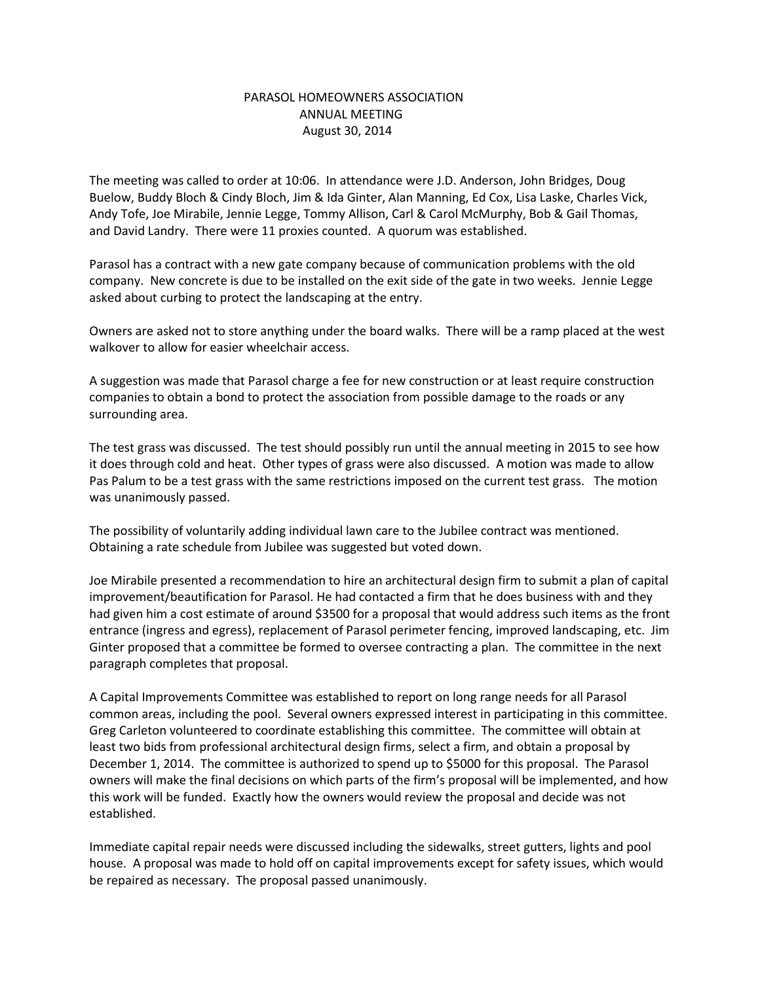## PARASOL HOMEOWNERS ASSOCIATION ANNUAL MEETING August 30, 2014

The meeting was called to order at 10:06. In attendance were J.D. Anderson, John Bridges, Doug Buelow, Buddy Bloch & Cindy Bloch, Jim & Ida Ginter, Alan Manning, Ed Cox, Lisa Laske, Charles Vick, Andy Tofe, Joe Mirabile, Jennie Legge, Tommy Allison, Carl & Carol McMurphy, Bob & Gail Thomas, and David Landry. There were 11 proxies counted. A quorum was established.

Parasol has a contract with a new gate company because of communication problems with the old company. New concrete is due to be installed on the exit side of the gate in two weeks. Jennie Legge asked about curbing to protect the landscaping at the entry.

Owners are asked not to store anything under the board walks. There will be a ramp placed at the west walkover to allow for easier wheelchair access.

A suggestion was made that Parasol charge a fee for new construction or at least require construction companies to obtain a bond to protect the association from possible damage to the roads or any surrounding area.

The test grass was discussed. The test should possibly run until the annual meeting in 2015 to see how it does through cold and heat. Other types of grass were also discussed. A motion was made to allow Pas Palum to be a test grass with the same restrictions imposed on the current test grass. The motion was unanimously passed.

The possibility of voluntarily adding individual lawn care to the Jubilee contract was mentioned. Obtaining a rate schedule from Jubilee was suggested but voted down.

Joe Mirabile presented a recommendation to hire an architectural design firm to submit a plan of capital improvement/beautification for Parasol. He had contacted a firm that he does business with and they had given him a cost estimate of around \$3500 for a proposal that would address such items as the front entrance (ingress and egress), replacement of Parasol perimeter fencing, improved landscaping, etc. Jim Ginter proposed that a committee be formed to oversee contracting a plan. The committee in the next paragraph completes that proposal.

A Capital Improvements Committee was established to report on long range needs for all Parasol common areas, including the pool. Several owners expressed interest in participating in this committee. Greg Carleton volunteered to coordinate establishing this committee. The committee will obtain at least two bids from professional architectural design firms, select a firm, and obtain a proposal by December 1, 2014. The committee is authorized to spend up to \$5000 for this proposal. The Parasol owners will make the final decisions on which parts of the firm's proposal will be implemented, and how this work will be funded. Exactly how the owners would review the proposal and decide was not established.

Immediate capital repair needs were discussed including the sidewalks, street gutters, lights and pool house. A proposal was made to hold off on capital improvements except for safety issues, which would be repaired as necessary. The proposal passed unanimously.